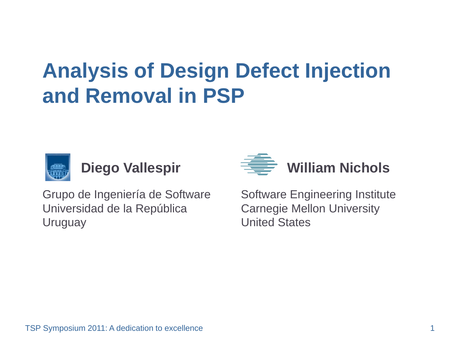# **Analysis of Design Defect Injection and Removal in PSP**





Grupo de Ingeniería de Software  $\qquad$  Software En Universidad de la República Carnegie Mellon University Uruguay United States

gineering Institute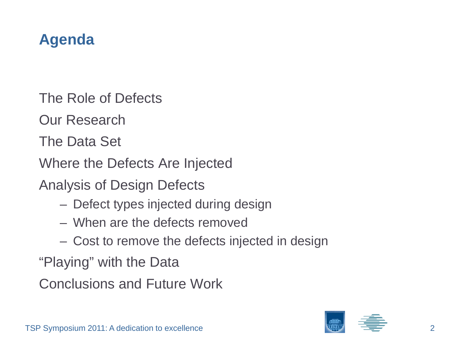# **Agenda**

The Role of Defects

Our Research

The Data Set

Where the Defects Are Injected

Analysis of Design Defects

- Defect types injected during design
- When are the defects removed
- $-$  Cost to remove the defects injected in design

"Playing" with the Data

Conclusions and Future Work

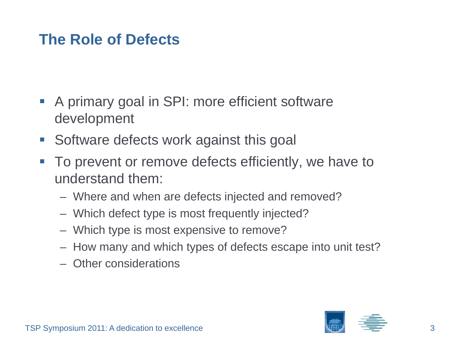### **The Role of Defects**

- **A primary goal in SPI: more efficient software** development
- **Software defects work against this goal**
- $\mathbb{R}^3$  To prevent or remove defects efficiently, we have to understand them:
	- Where and when are defects injected and removed?
	- Which defect type is most frequently injected?
	- Which type is most expensive to remove?
	- How many and which types of defects escape into unit test?
	- Other considerations

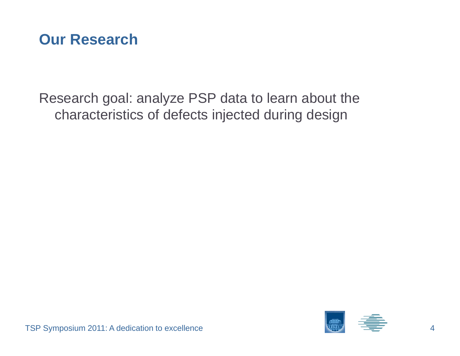

Research goal: analyze PSP data to learn about the characteristics of defects injected during design

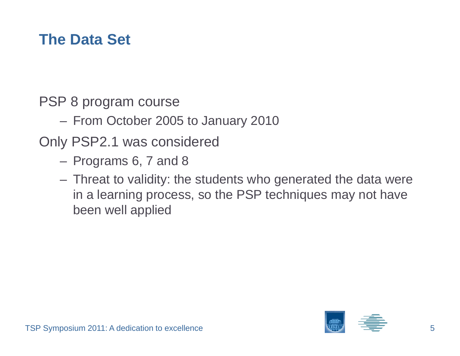### **The Data Set**

PSP 8 program course

From October 2005 to January 2010

Only PSP2.1 was considered

- Programs 6, 7 and 8
- Threat to validity: the students who generated the data were in a learning process, so the PSP techniques may not have been well applied

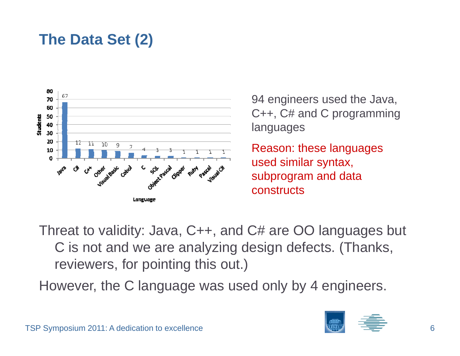# **The Data Set (2)**



94 engineers used the Java,  $C++$ ,  $C#$  and C programming languages

Reason: these languages used similar syntax, subprogram and data constructs

Threat to validity: Java, C++, and C# are OO languages but C is not and we are analyzing design defects. (Thanks, reviewers, for pointing this out.)

However, the C language was used only by 4 engineers.

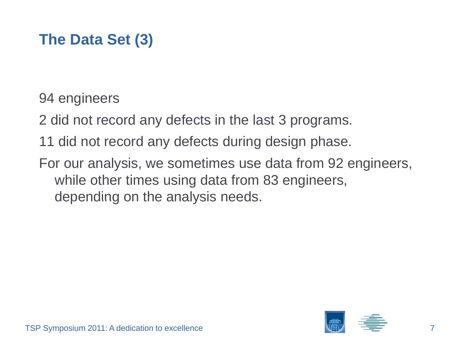# **The Data Set (3)**

94 engineers

- 2 did not record any defects in the last 3 programs.
- 11 did not record any defects during design phase.
- For our analysis, we sometimes use data from 92 engineers, while other times using data from 83 engineers, depending on the analysis needs.

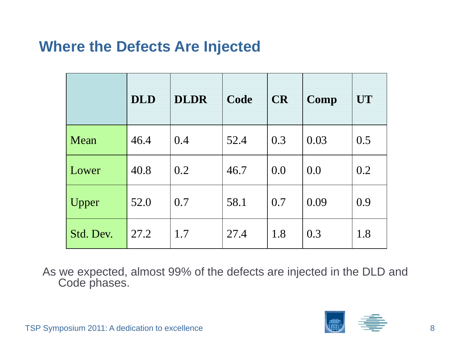#### **Where the Defects Are Injected**

|             | <b>DLD</b> | <b>DLDR</b> | Code | <b>CR</b> | Comp | UT  |
|-------------|------------|-------------|------|-----------|------|-----|
| <b>Mean</b> | 46.4       | 0.4         | 52.4 | 0.3       | 0.03 | 0.5 |
| Lower       | 40.8       | 0.2         | 46.7 | 0.0       | 0.0  | 0.2 |
| Upper       | 52.0       | 0.7         | 58.1 | 0.7       | 0.09 | 0.9 |
| Std. Dev.   | 27.2       | 1.7         | 27.4 | 1.8       | 0.3  | 1.8 |

As we expected, almost 99% of the defects are injected in the DLD and Code phases.

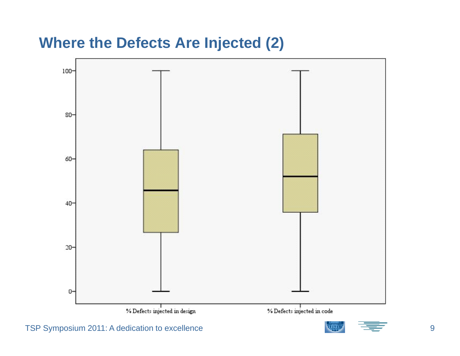#### **Where the Defects Are Injected (2)**

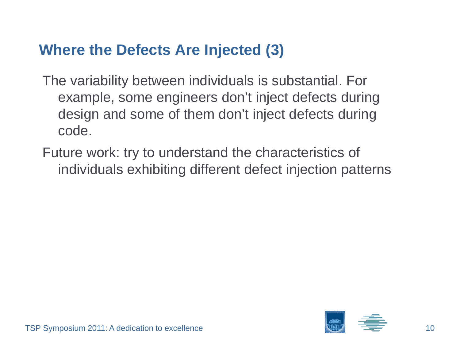#### **Where the Defects Are Injected (3)**

- The variability between individuals is substantial. For example, some engineers don't inject defects during design and some of them don't inject defects during code.
- Future work: try to understand the characteristics of individuals exhibiting different defect injection patterns

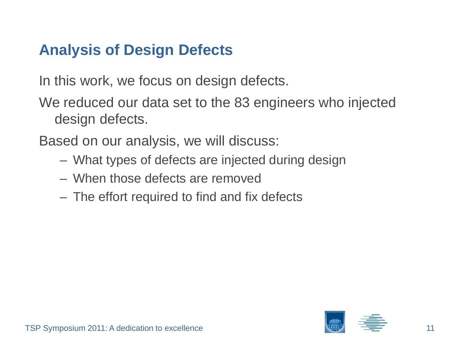# **Analysis of Design Defects**

In this work, we focus on design defects.

We reduced our data set to the 83 engineers who injected design defects.

Based on our analysis, we will discuss:

- What types of defects are injected during design
- When those defects are removed
- The effort required to find and fix defects

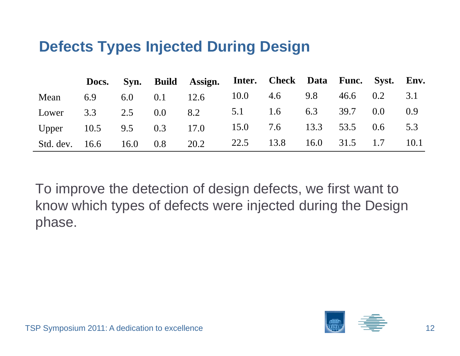#### **Defects Types Injected During Design**

|                         |  |               | Docs. Syn. Build Assign. Inter. Check Data Func. Syst. Env. |                        |                     |      |
|-------------------------|--|---------------|-------------------------------------------------------------|------------------------|---------------------|------|
| Mean                    |  |               | 6.9 6.0 0.1 12.6 10.0 4.6 9.8                               |                        | 46.6 0.2            | 3.1  |
| Lower                   |  | 3.3 2.5 $0.0$ | 8.2                                                         | 5.1 1.6 6.3 39.7 0.0   |                     | 0.9  |
| Upper 10.5 9.5 0.3 17.0 |  |               |                                                             | 15.0 7.6 13.3 53.5 0.6 |                     | 5.3  |
|                         |  |               | Std. dev. 16.6 16.0 0.8 20.2                                | 22.5 13.8              | $16.0$ $31.5$ $1.7$ | 10.1 |

To improve the detection of design defects, we first want to know which types of defects were injected during the Design phase.

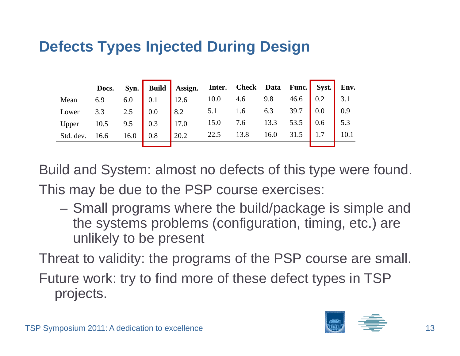## **Defects Types Injected During Design**

|                           |             |     | Docs. Syn. Build Assign. Inter. Check Data Func. Syst. Env. |                           |                        |      |      |                   |
|---------------------------|-------------|-----|-------------------------------------------------------------|---------------------------|------------------------|------|------|-------------------|
| Mean                      | 6.9 6.0 0.1 |     | 12.6                                                        | 10.0 4.6 9.8 46.6 0.2 3.1 |                        |      |      |                   |
| Lower 3.3 2.5 $\big  0.0$ |             |     | 8.2 5.1 1.6 6.3 39.7 0.0                                    |                           |                        |      |      | $\vert 0.9 \vert$ |
| Upper $10.5$ 9.5 0.3      |             |     | 17.0                                                        |                           | 15.0 7.6 13.3 53.5 0.6 |      |      | $\vert$ 5.3       |
| Std. dev. 16.6 16.0       |             | 0.8 | 20.2                                                        | 22.5                      | 13.8                   | 16.0 | 31.5 | 10.1              |
|                           |             |     |                                                             |                           |                        |      |      |                   |

Build and System: almost no defects of this type were found. This may be due to the PSP course exercises:

– Small programs where the build/package is simple and the systems problems (configuration, timing, etc.) are unlikely to be present

Threat to validity: the programs of the PSP course are small.

Future work: try to find more of these defect types in TSP projects.

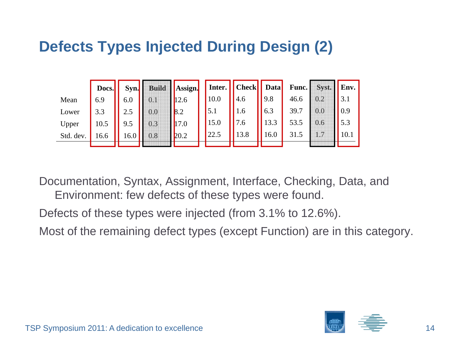### **Defects Types Injected During Design (2)**

|           | Docs. | Syn. | <b>Build</b> | Assign. |      | Inter.   Check   Data |      | Func. | Syst. | Env. |
|-----------|-------|------|--------------|---------|------|-----------------------|------|-------|-------|------|
| Mean      | 6.9   | 6.0  |              | 12.6    | 10.0 | 4.6                   | 9.8  | 46.6  | 0.2   |      |
| Lower     | 3.3   | 2.5  | 0.0          | 8.2     | 5.1  | 1.6                   | 6.3  | 39.7  | 0.0   | 0.9  |
| Upper     | 10.5  | 9.5  | 0.3          | 17.0    | 15.0 | 7.6                   | 13.3 | 53.5  | 0.6   | 5.3  |
| Std. dev. | 16.6  | 16.0 | 0.8          | 20.2    | 22.5 | 13.8                  | 16.0 | 31.5  |       | 10.1 |
|           |       |      |              |         |      |                       |      |       |       |      |

Documentation, Syntax, Assignment, Interface, Checking, Data, and Environment: few defects of these types were found.

Defects of these types were injected (from 3.1% to 12.6%).

Most of the remaining defect types (except Function) are in this category.

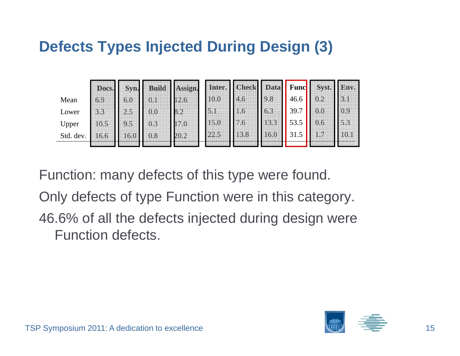## **Defects Types Injected During Design (3)**

|           | Docs. | Syn. | <b>Build</b> | Assign. |      | Inter. Check Data |      | <b>Func</b> | Syst. | Env. |
|-----------|-------|------|--------------|---------|------|-------------------|------|-------------|-------|------|
| Mean      | 6.9   | 6.0  | 0.1          | 12.6    | 10.0 | 4.6               | 9.8  | 46.6        | 0.2   | 3.1  |
| Lower     | 3.3   | 2.5  | $0.0\,$      | 8.2     | 5.1  | 1.6               | 6.3  | 39.7        | 0.0   | 0.9  |
| Upper     | 10.5  | 9.5  | 0.3          | 17.0    | 15.0 | 7.6               | 13.3 | 53.5        |       | 5.3  |
| Std. dev. | 16.6  | 16.0 | 0.8          | 20.2    | 22.5 | 13.8              | 16.0 | 31          |       | 10.1 |
|           |       |      |              |         |      |                   |      |             |       |      |

Function: many defects of this type were found.

Only defects of type Function were in this category.

46.6% of all the defects injected during design were Function defects.

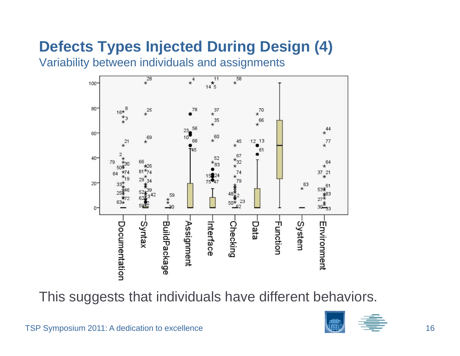# **Defects Types Injected During Design (4)**

Variability between individuals and assignments



This suggests that individuals have different behaviors.

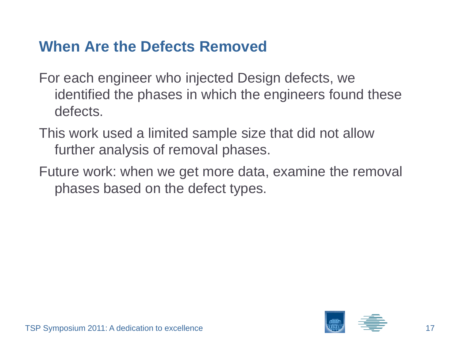#### **When Are the Defects Removed**

- For each engineer who injected Design defects, we identified the phases in which the engineers found these defects.
- This work used a limited sample size that did not allow further analysis of removal phases.
- Future work: when we get more data, examine the removal phases based on the defect types.

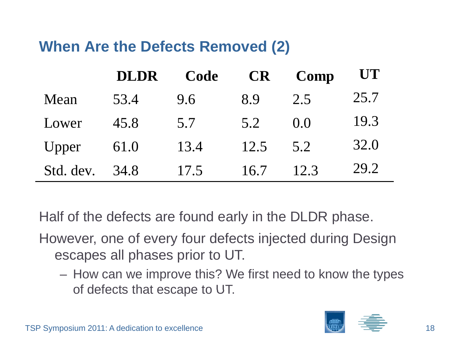### **When Are the Defects Removed (2)**

|           | <b>DLDR</b> | Code | <b>CR</b> | Comp  | UT   |
|-----------|-------------|------|-----------|-------|------|
| Mean      | 53.4        | 9.6  | 8.9       | 2.5   | 25.7 |
| Lower     | 45.8        | 5.7  | 5.2       | (0.0) | 19.3 |
| Upper     | 61.0        | 13.4 | 12.5      | 5.2   | 32.0 |
| Std. dev. | 34.8        | 17.5 | 16.7      | 12.3  | 29.2 |

Half of the defects are found early in the DLDR phase.

However, one of every four defects injected during Design escapes all phases prior to UT.

 How can we improve this? We first need to know the types of defects that escape to UT.

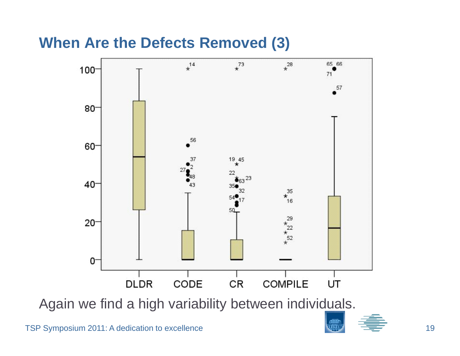#### **When Are the Defects Removed (3)**



Again we find a high variability between individuals.

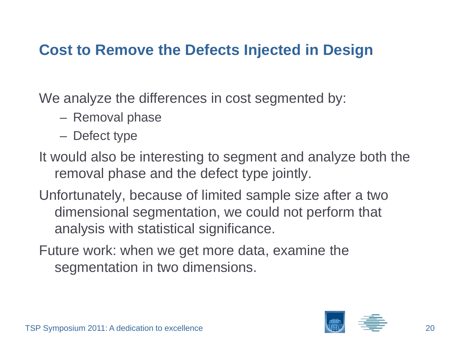#### **Cost to Remove the Defects Injected in Design**

We analyze the differences in cost segmented by:

- Removal phase
- Defect type
- It would also be interesting to segment and analyze both the removal phase and the defect type jointly.
- Unfortunately, because of limited sample size after a two dimensional segmentation, we could not perform that analysis with statistical significance.
- Future work: when we get more data, examine the segmentation in two dimensions.

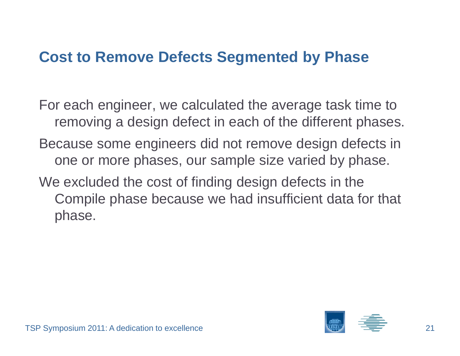#### **Cost to Remove Defects Segmented by Phase**

For each engineer, we calculated the average task time to removing a design defect in each of the different phases. Because some engineers did not remove design defects in one or more phases, our sample size varied by phase. We excluded the cost of finding design defects in the Compile phase because we had insufficient data for that phase.

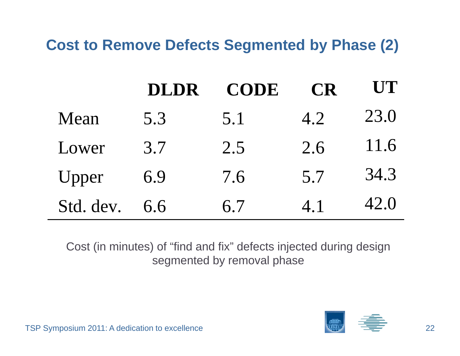**Cost to Remove Defects Segmented by Phase (2)**

|           | <b>DLDR</b> | <b>CODE</b> | <b>CR</b> | UT   |
|-----------|-------------|-------------|-----------|------|
| Mean      | 5.3         | 5.1         | 4.2       | 23.0 |
| Lower     | 3.7         | 2.5         | 2.6       | 11.6 |
| Upper     | 6.9         | 7.6         | 5.7       | 34.3 |
| Std. dev. | 6.6         | 6.7         | 4.1       | 42.0 |

Cost (in minutes) of "find and fix find  $\mathrm{^{\prime\prime}}$  defects injected during design segmented by removal phase



TSP Symposium 2011: A dedication to excellence 22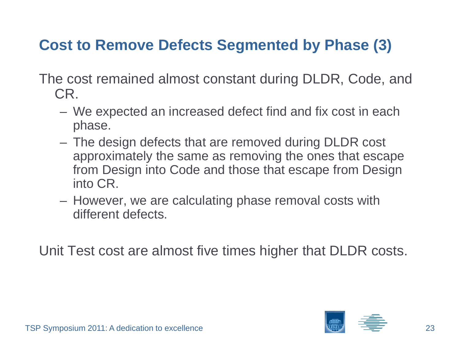# **Cost to Remove Defects Segmented by Phase (3)**

The cost remained almost constant during DLDR, Code, and CR.

- We expected an increased defect find and fix cost in each phase.
- The design defects that are removed during DLDR cost approximately the same as removing the ones that escape from Design into Code and those that escape from Design into CR.
- $-$  However, we are calculating phase removal costs with different defects.

Unit Test cost are almost five times higher that DLDR costs.

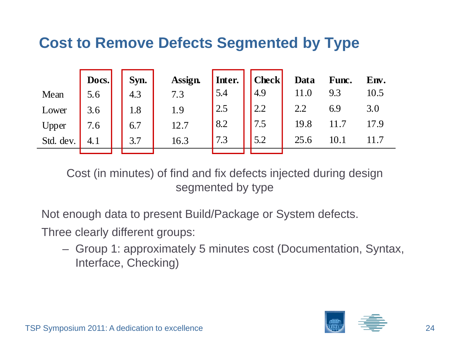#### **Cost to Remove Defects Segmented by Type**

|           | Docs. | Syn. | Assign. | Inter. | <b>Check</b> | Data | Func. | Env. |
|-----------|-------|------|---------|--------|--------------|------|-------|------|
| Mean      | 5.6   | 4.3  | 7.3     | 5.4    | 4.9          |      | 9.3   | 10.5 |
| Lower     | 3.6   | 1.8  | 1.9     | 2.5    | 2.2          | 2.2  | 6.9   | 3.0  |
| Upper     | 7.6   | 6.7  | 12.7    | 8.2    | 7.5          | 19.8 |       | 17.9 |
| Std. dev. | 4.1   | 3.7  | 16.3    | 7.3    | 5.2          | 25.6 |       | 11.7 |
|           |       |      |         |        |              |      |       |      |

Cost (in minutes) of find and fix defects injected during design segmented by type

Not enough data to present Build/Package or System defects.

Three clearly different groups:

- Group 1: approximately 5 minutes cost (Documentation, Syntax, Interface, Checking)

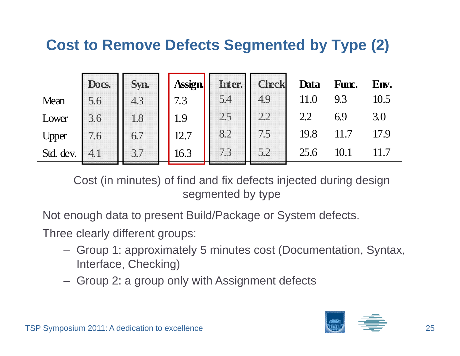#### **Cost to Remove Defects Segmented by Type (2)**

|           | Docs. | Syn. | <b>Assign</b> | Inter. | <b>Check</b> | Data | Func. | Env. |
|-----------|-------|------|---------------|--------|--------------|------|-------|------|
| Mean      | 5.6   | 4.3  | 7.3           | 5.4    | 4.9          | 11.0 | 9.3   | 10.5 |
| Lower     | 3.6   | 1.8  | 1.9           | 2.5    | 2.2          | 2.2  | 6.9   | 3.0  |
| Upper     | 7.6   | 6.7  | 12.7          | 8.2    | 7.5          | 19.8 |       |      |
| Std. dev. |       | 3.7  | 16.3          | 7.3    | 5.2          | 25.6 |       |      |

Cost (in minutes) of find and fix defects injected during design segmented by type

Not enough data to present Build/Package or System defects.

Three clearly different groups:

- Group 1: approximately 5 minutes cost (Documentation, Syntax, Interface, Checking)
- Group 2: a group only with Assignment defects

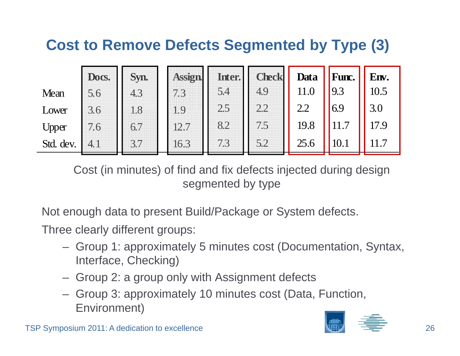# **Cost to Remove Defects Segmented by Type (3)**

|           | Docs. | Syn. | Assign | Inter. | <b>Check</b> | Data | Func. | Env. |
|-----------|-------|------|--------|--------|--------------|------|-------|------|
| Mean      | 5.6   | 4.3  |        | 5.4    | 4.9          | 11.0 | 9.3   | 10.5 |
| Lower     | 3.6   | 1.8  | 1.9    | 2.5    | 2.2          | 2.2  | 6.9   | 3.0  |
| Upper     | 7.6   | 6.7  | 12.7   | 8.2    | 7.5          | 19.8 |       | 17.9 |
| Std. dev. | 4.1   | 3.7  | 16.3   | 7.3    | 5.2          | 25.6 | 10.1  |      |

Cost (in minutes) of find and fix defects injected during design segmented by type

Not enough data to present Build/Package or System defects.

Three clearly different groups:

- Group 1: approximately 5 minutes cost (Documentation, Syntax, Interface, Checking)
- Group 2: a group only with Assignment defects
- Group 3: approximately 10 minutes cost (Data, Functi – Group 3: approximately 10 minutes cost (Data, Function, Environment)

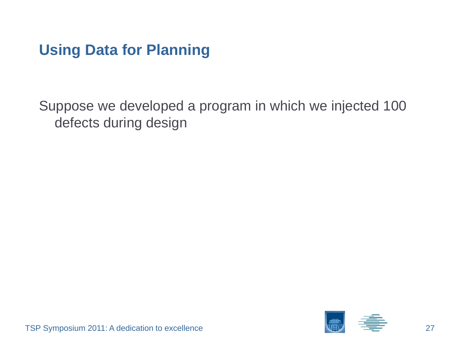### **Using Data for Planning**

Suppose we developed a program in which we injected 100 defects during design

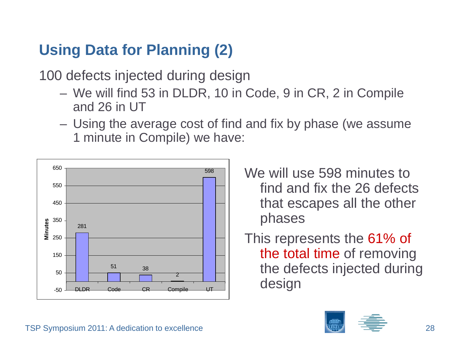# **Using Data for Planning (2)**

100 defects injected during design

- We will find 53 in DLDR, 10 in Code, 9 in CR, 2 in Compile and 26 in UT
- Using the average cost of find and fix by phase (we assume 1 minute in Compile) we have:



- We will use 598 minutes to find and fix the 26 defects that escapes all the other phases
- This represents the 61% of the total time of removing the defects injected during desi g n

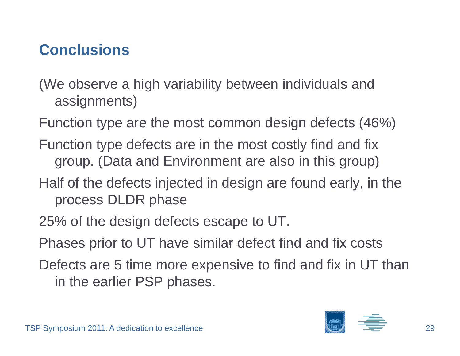# **Conclusions**

(We observe a high variability between individuals and assignments)

Function type are the most common design defects (46%)

- Function type defects are in the most costly find and fix group. (Data and Environment are also in this group)
- Half of the defects injected in design are found early, in the process DLDR phase
- 25% of the design defects escape to UT.
- Phases prior to UT have similar defect find and fix costs
- Defects are 5 time more expensive to find and fix in UT than in the earlier PSP phases.

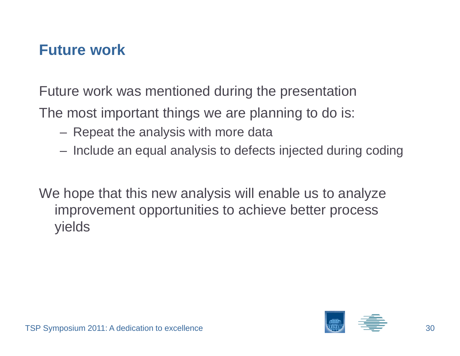#### **Future work**

Future work was mentioned during the presentation

The most important things we are planning to do is:

- Repeat the analysis with more data
- $-$  Include an equal analysis to defects injected during coding

We hope that this new analysis will enable us to analyze improvement opportunities to achieve better process yields